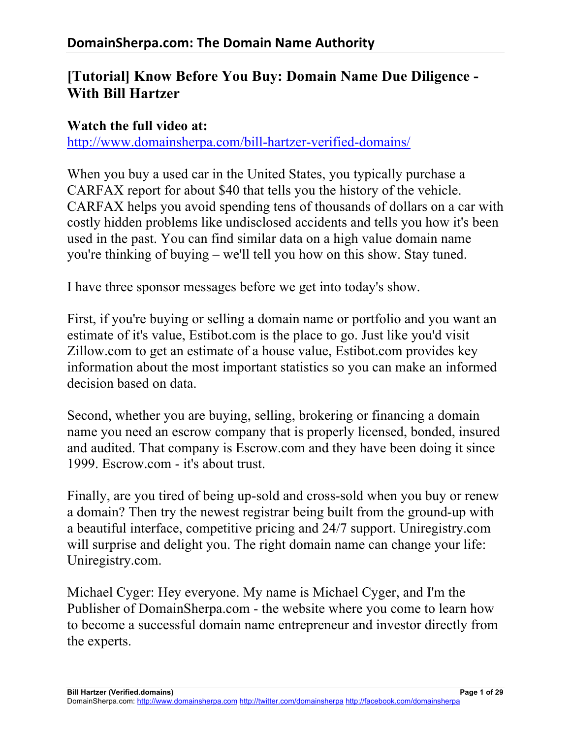# **[Tutorial] Know Before You Buy: Domain Name Due Diligence - With Bill Hartzer**

#### **Watch the full video at:**

http://www.domainsherpa.com/bill-hartzer-verified-domains/

When you buy a used car in the United States, you typically purchase a CARFAX report for about \$40 that tells you the history of the vehicle. CARFAX helps you avoid spending tens of thousands of dollars on a car with costly hidden problems like undisclosed accidents and tells you how it's been used in the past. You can find similar data on a high value domain name you're thinking of buying – we'll tell you how on this show. Stay tuned.

I have three sponsor messages before we get into today's show.

First, if you're buying or selling a domain name or portfolio and you want an estimate of it's value, Estibot.com is the place to go. Just like you'd visit Zillow.com to get an estimate of a house value, Estibot.com provides key information about the most important statistics so you can make an informed decision based on data.

Second, whether you are buying, selling, brokering or financing a domain name you need an escrow company that is properly licensed, bonded, insured and audited. That company is Escrow.com and they have been doing it since 1999. Escrow.com - it's about trust.

Finally, are you tired of being up-sold and cross-sold when you buy or renew a domain? Then try the newest registrar being built from the ground-up with a beautiful interface, competitive pricing and 24/7 support. Uniregistry.com will surprise and delight you. The right domain name can change your life: Uniregistry.com.

Michael Cyger: Hey everyone. My name is Michael Cyger, and I'm the Publisher of DomainSherpa.com - the website where you come to learn how to become a successful domain name entrepreneur and investor directly from the experts.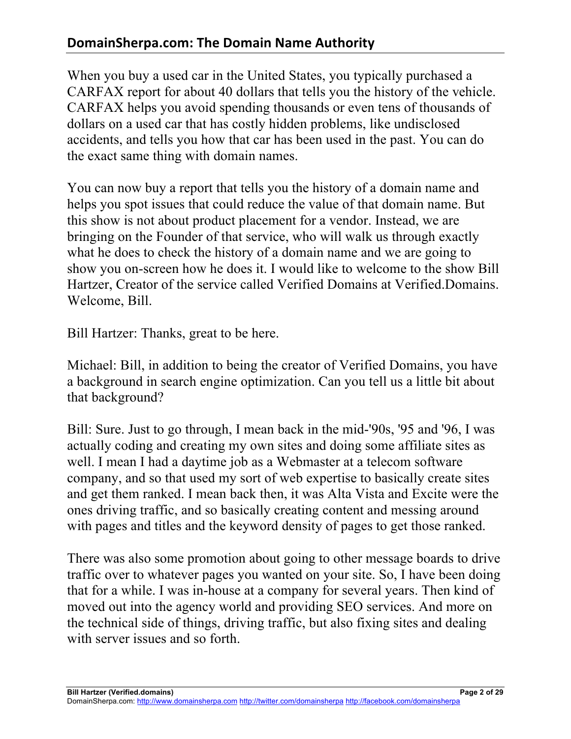When you buy a used car in the United States, you typically purchased a CARFAX report for about 40 dollars that tells you the history of the vehicle. CARFAX helps you avoid spending thousands or even tens of thousands of dollars on a used car that has costly hidden problems, like undisclosed accidents, and tells you how that car has been used in the past. You can do the exact same thing with domain names.

You can now buy a report that tells you the history of a domain name and helps you spot issues that could reduce the value of that domain name. But this show is not about product placement for a vendor. Instead, we are bringing on the Founder of that service, who will walk us through exactly what he does to check the history of a domain name and we are going to show you on-screen how he does it. I would like to welcome to the show Bill Hartzer, Creator of the service called Verified Domains at Verified.Domains. Welcome, Bill.

Bill Hartzer: Thanks, great to be here.

Michael: Bill, in addition to being the creator of Verified Domains, you have a background in search engine optimization. Can you tell us a little bit about that background?

Bill: Sure. Just to go through, I mean back in the mid-'90s, '95 and '96, I was actually coding and creating my own sites and doing some affiliate sites as well. I mean I had a daytime job as a Webmaster at a telecom software company, and so that used my sort of web expertise to basically create sites and get them ranked. I mean back then, it was Alta Vista and Excite were the ones driving traffic, and so basically creating content and messing around with pages and titles and the keyword density of pages to get those ranked.

There was also some promotion about going to other message boards to drive traffic over to whatever pages you wanted on your site. So, I have been doing that for a while. I was in-house at a company for several years. Then kind of moved out into the agency world and providing SEO services. And more on the technical side of things, driving traffic, but also fixing sites and dealing with server issues and so forth.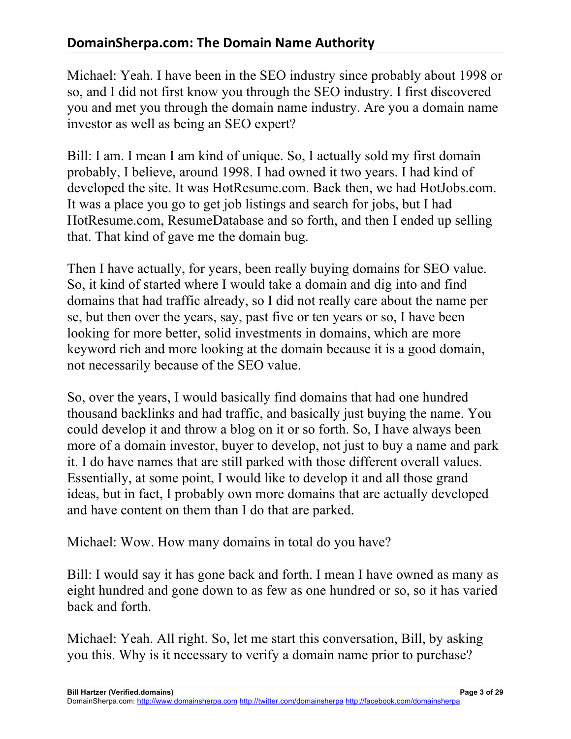Michael: Yeah. I have been in the SEO industry since probably about 1998 or so, and I did not first know you through the SEO industry. I first discovered you and met you through the domain name industry. Are you a domain name investor as well as being an SEO expert?

Bill: I am. I mean I am kind of unique. So, I actually sold my first domain probably, I believe, around 1998. I had owned it two years. I had kind of developed the site. It was HotResume.com. Back then, we had HotJobs.com. It was a place you go to get job listings and search for jobs, but I had HotResume.com, ResumeDatabase and so forth, and then I ended up selling that. That kind of gave me the domain bug.

Then I have actually, for years, been really buying domains for SEO value. So, it kind of started where I would take a domain and dig into and find domains that had traffic already, so I did not really care about the name per se, but then over the years, say, past five or ten years or so, I have been looking for more better, solid investments in domains, which are more keyword rich and more looking at the domain because it is a good domain, not necessarily because of the SEO value.

So, over the years, I would basically find domains that had one hundred thousand backlinks and had traffic, and basically just buying the name. You could develop it and throw a blog on it or so forth. So, I have always been more of a domain investor, buyer to develop, not just to buy a name and park it. I do have names that are still parked with those different overall values. Essentially, at some point, I would like to develop it and all those grand ideas, but in fact, I probably own more domains that are actually developed and have content on them than I do that are parked.

Michael: Wow. How many domains in total do you have?

Bill: I would say it has gone back and forth. I mean I have owned as many as eight hundred and gone down to as few as one hundred or so, so it has varied back and forth.

Michael: Yeah. All right. So, let me start this conversation, Bill, by asking you this. Why is it necessary to verify a domain name prior to purchase?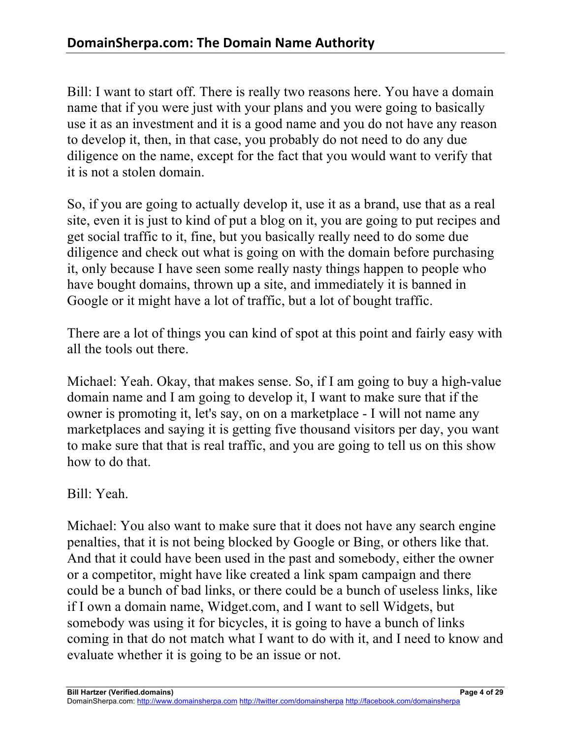Bill: I want to start off. There is really two reasons here. You have a domain name that if you were just with your plans and you were going to basically use it as an investment and it is a good name and you do not have any reason to develop it, then, in that case, you probably do not need to do any due diligence on the name, except for the fact that you would want to verify that it is not a stolen domain.

So, if you are going to actually develop it, use it as a brand, use that as a real site, even it is just to kind of put a blog on it, you are going to put recipes and get social traffic to it, fine, but you basically really need to do some due diligence and check out what is going on with the domain before purchasing it, only because I have seen some really nasty things happen to people who have bought domains, thrown up a site, and immediately it is banned in Google or it might have a lot of traffic, but a lot of bought traffic.

There are a lot of things you can kind of spot at this point and fairly easy with all the tools out there.

Michael: Yeah. Okay, that makes sense. So, if I am going to buy a high-value domain name and I am going to develop it, I want to make sure that if the owner is promoting it, let's say, on on a marketplace - I will not name any marketplaces and saying it is getting five thousand visitors per day, you want to make sure that that is real traffic, and you are going to tell us on this show how to do that.

Bill: Yeah.

Michael: You also want to make sure that it does not have any search engine penalties, that it is not being blocked by Google or Bing, or others like that. And that it could have been used in the past and somebody, either the owner or a competitor, might have like created a link spam campaign and there could be a bunch of bad links, or there could be a bunch of useless links, like if I own a domain name, Widget.com, and I want to sell Widgets, but somebody was using it for bicycles, it is going to have a bunch of links coming in that do not match what I want to do with it, and I need to know and evaluate whether it is going to be an issue or not.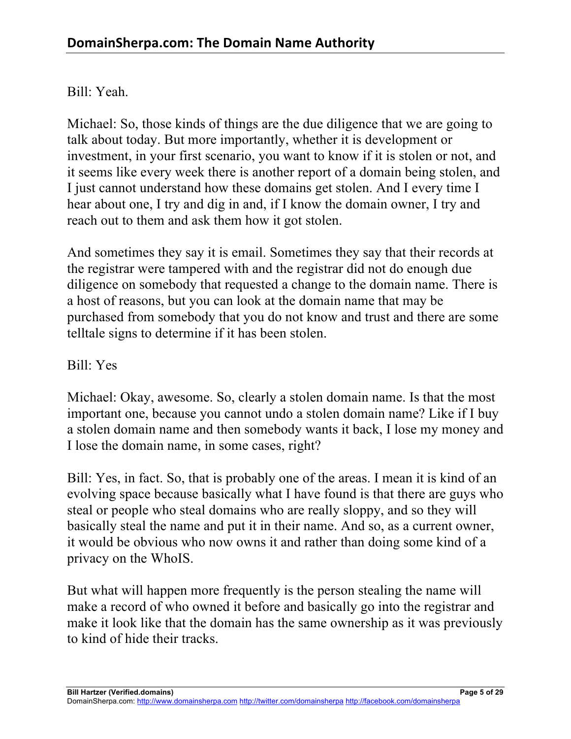#### Bill: Yeah.

Michael: So, those kinds of things are the due diligence that we are going to talk about today. But more importantly, whether it is development or investment, in your first scenario, you want to know if it is stolen or not, and it seems like every week there is another report of a domain being stolen, and I just cannot understand how these domains get stolen. And I every time I hear about one, I try and dig in and, if I know the domain owner, I try and reach out to them and ask them how it got stolen.

And sometimes they say it is email. Sometimes they say that their records at the registrar were tampered with and the registrar did not do enough due diligence on somebody that requested a change to the domain name. There is a host of reasons, but you can look at the domain name that may be purchased from somebody that you do not know and trust and there are some telltale signs to determine if it has been stolen.

#### Bill: Yes

Michael: Okay, awesome. So, clearly a stolen domain name. Is that the most important one, because you cannot undo a stolen domain name? Like if I buy a stolen domain name and then somebody wants it back, I lose my money and I lose the domain name, in some cases, right?

Bill: Yes, in fact. So, that is probably one of the areas. I mean it is kind of an evolving space because basically what I have found is that there are guys who steal or people who steal domains who are really sloppy, and so they will basically steal the name and put it in their name. And so, as a current owner, it would be obvious who now owns it and rather than doing some kind of a privacy on the WhoIS.

But what will happen more frequently is the person stealing the name will make a record of who owned it before and basically go into the registrar and make it look like that the domain has the same ownership as it was previously to kind of hide their tracks.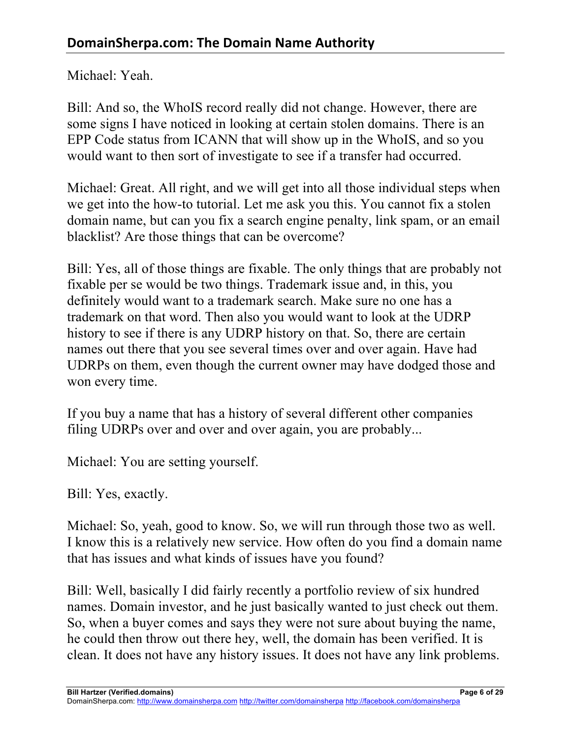Michael: Yeah.

Bill: And so, the WhoIS record really did not change. However, there are some signs I have noticed in looking at certain stolen domains. There is an EPP Code status from ICANN that will show up in the WhoIS, and so you would want to then sort of investigate to see if a transfer had occurred.

Michael: Great. All right, and we will get into all those individual steps when we get into the how-to tutorial. Let me ask you this. You cannot fix a stolen domain name, but can you fix a search engine penalty, link spam, or an email blacklist? Are those things that can be overcome?

Bill: Yes, all of those things are fixable. The only things that are probably not fixable per se would be two things. Trademark issue and, in this, you definitely would want to a trademark search. Make sure no one has a trademark on that word. Then also you would want to look at the UDRP history to see if there is any UDRP history on that. So, there are certain names out there that you see several times over and over again. Have had UDRPs on them, even though the current owner may have dodged those and won every time.

If you buy a name that has a history of several different other companies filing UDRPs over and over and over again, you are probably...

Michael: You are setting yourself.

Bill: Yes, exactly.

Michael: So, yeah, good to know. So, we will run through those two as well. I know this is a relatively new service. How often do you find a domain name that has issues and what kinds of issues have you found?

Bill: Well, basically I did fairly recently a portfolio review of six hundred names. Domain investor, and he just basically wanted to just check out them. So, when a buyer comes and says they were not sure about buying the name, he could then throw out there hey, well, the domain has been verified. It is clean. It does not have any history issues. It does not have any link problems.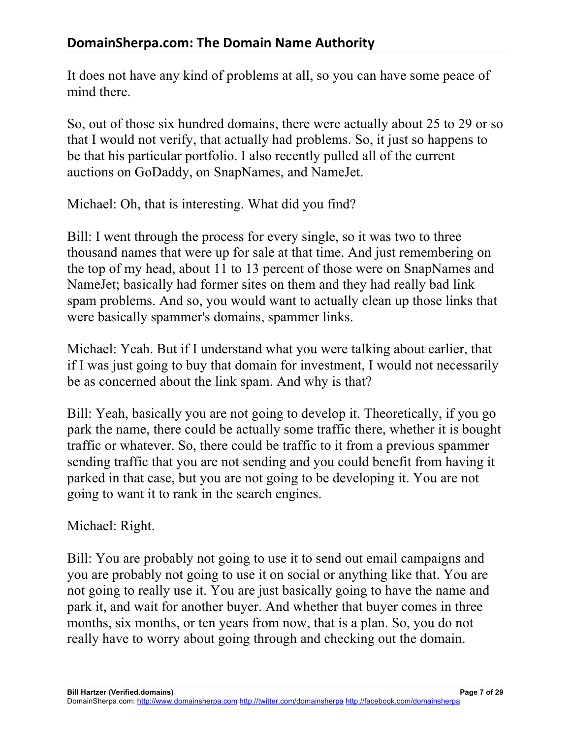It does not have any kind of problems at all, so you can have some peace of mind there.

So, out of those six hundred domains, there were actually about 25 to 29 or so that I would not verify, that actually had problems. So, it just so happens to be that his particular portfolio. I also recently pulled all of the current auctions on GoDaddy, on SnapNames, and NameJet.

Michael: Oh, that is interesting. What did you find?

Bill: I went through the process for every single, so it was two to three thousand names that were up for sale at that time. And just remembering on the top of my head, about 11 to 13 percent of those were on SnapNames and NameJet; basically had former sites on them and they had really bad link spam problems. And so, you would want to actually clean up those links that were basically spammer's domains, spammer links.

Michael: Yeah. But if I understand what you were talking about earlier, that if I was just going to buy that domain for investment, I would not necessarily be as concerned about the link spam. And why is that?

Bill: Yeah, basically you are not going to develop it. Theoretically, if you go park the name, there could be actually some traffic there, whether it is bought traffic or whatever. So, there could be traffic to it from a previous spammer sending traffic that you are not sending and you could benefit from having it parked in that case, but you are not going to be developing it. You are not going to want it to rank in the search engines.

Michael: Right.

Bill: You are probably not going to use it to send out email campaigns and you are probably not going to use it on social or anything like that. You are not going to really use it. You are just basically going to have the name and park it, and wait for another buyer. And whether that buyer comes in three months, six months, or ten years from now, that is a plan. So, you do not really have to worry about going through and checking out the domain.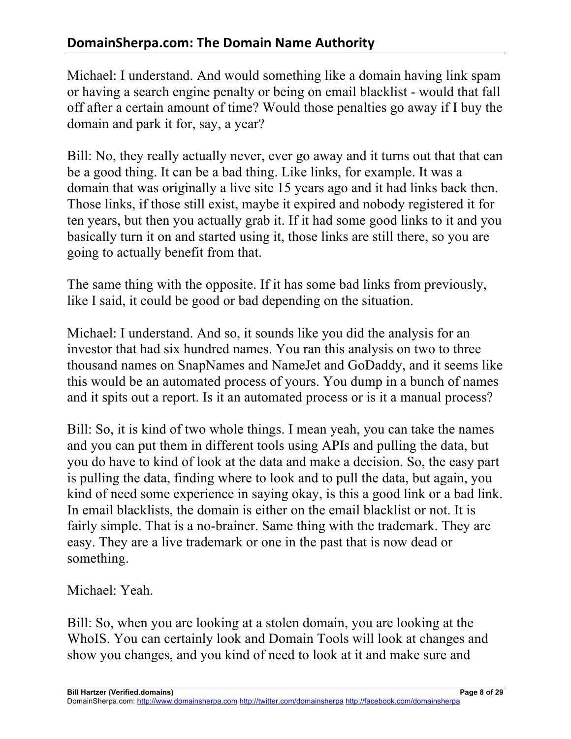Michael: I understand. And would something like a domain having link spam or having a search engine penalty or being on email blacklist - would that fall off after a certain amount of time? Would those penalties go away if I buy the domain and park it for, say, a year?

Bill: No, they really actually never, ever go away and it turns out that that can be a good thing. It can be a bad thing. Like links, for example. It was a domain that was originally a live site 15 years ago and it had links back then. Those links, if those still exist, maybe it expired and nobody registered it for ten years, but then you actually grab it. If it had some good links to it and you basically turn it on and started using it, those links are still there, so you are going to actually benefit from that.

The same thing with the opposite. If it has some bad links from previously, like I said, it could be good or bad depending on the situation.

Michael: I understand. And so, it sounds like you did the analysis for an investor that had six hundred names. You ran this analysis on two to three thousand names on SnapNames and NameJet and GoDaddy, and it seems like this would be an automated process of yours. You dump in a bunch of names and it spits out a report. Is it an automated process or is it a manual process?

Bill: So, it is kind of two whole things. I mean yeah, you can take the names and you can put them in different tools using APIs and pulling the data, but you do have to kind of look at the data and make a decision. So, the easy part is pulling the data, finding where to look and to pull the data, but again, you kind of need some experience in saying okay, is this a good link or a bad link. In email blacklists, the domain is either on the email blacklist or not. It is fairly simple. That is a no-brainer. Same thing with the trademark. They are easy. They are a live trademark or one in the past that is now dead or something.

Michael: Yeah.

Bill: So, when you are looking at a stolen domain, you are looking at the WhoIS. You can certainly look and Domain Tools will look at changes and show you changes, and you kind of need to look at it and make sure and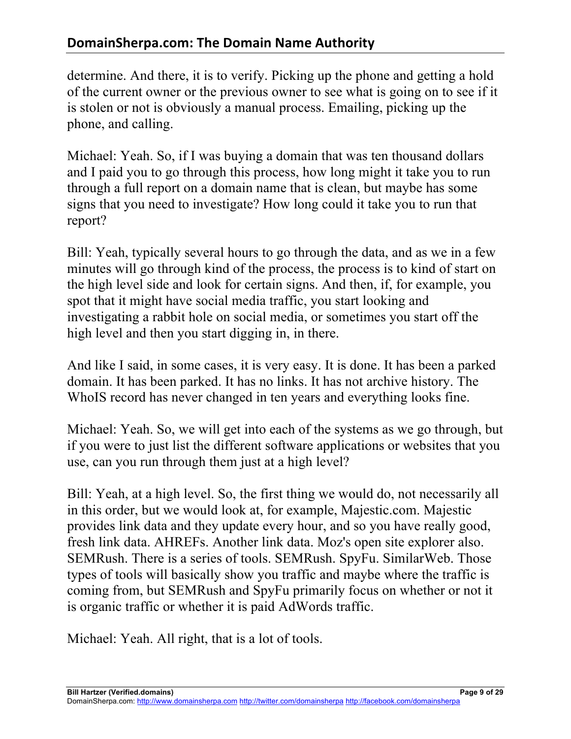determine. And there, it is to verify. Picking up the phone and getting a hold of the current owner or the previous owner to see what is going on to see if it is stolen or not is obviously a manual process. Emailing, picking up the phone, and calling.

Michael: Yeah. So, if I was buying a domain that was ten thousand dollars and I paid you to go through this process, how long might it take you to run through a full report on a domain name that is clean, but maybe has some signs that you need to investigate? How long could it take you to run that report?

Bill: Yeah, typically several hours to go through the data, and as we in a few minutes will go through kind of the process, the process is to kind of start on the high level side and look for certain signs. And then, if, for example, you spot that it might have social media traffic, you start looking and investigating a rabbit hole on social media, or sometimes you start off the high level and then you start digging in, in there.

And like I said, in some cases, it is very easy. It is done. It has been a parked domain. It has been parked. It has no links. It has not archive history. The WhoIS record has never changed in ten years and everything looks fine.

Michael: Yeah. So, we will get into each of the systems as we go through, but if you were to just list the different software applications or websites that you use, can you run through them just at a high level?

Bill: Yeah, at a high level. So, the first thing we would do, not necessarily all in this order, but we would look at, for example, Majestic.com. Majestic provides link data and they update every hour, and so you have really good, fresh link data. AHREFs. Another link data. Moz's open site explorer also. SEMRush. There is a series of tools. SEMRush. SpyFu. SimilarWeb. Those types of tools will basically show you traffic and maybe where the traffic is coming from, but SEMRush and SpyFu primarily focus on whether or not it is organic traffic or whether it is paid AdWords traffic.

Michael: Yeah. All right, that is a lot of tools.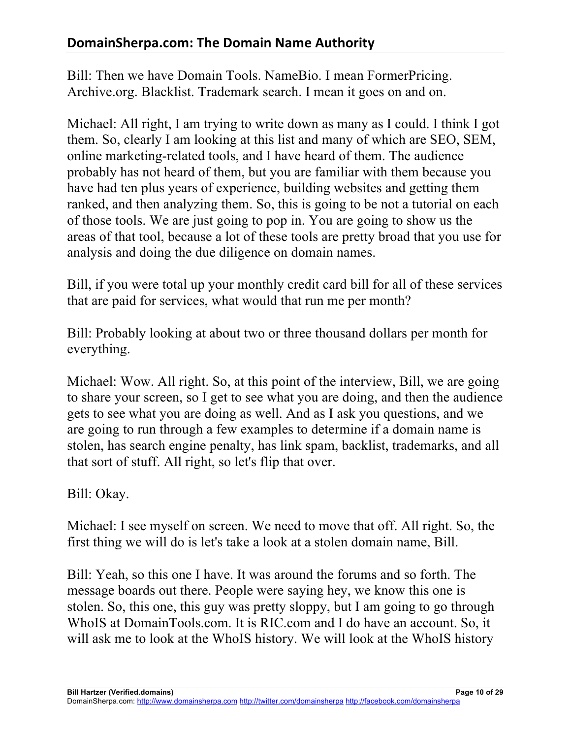Bill: Then we have Domain Tools. NameBio. I mean FormerPricing. Archive.org. Blacklist. Trademark search. I mean it goes on and on.

Michael: All right, I am trying to write down as many as I could. I think I got them. So, clearly I am looking at this list and many of which are SEO, SEM, online marketing-related tools, and I have heard of them. The audience probably has not heard of them, but you are familiar with them because you have had ten plus years of experience, building websites and getting them ranked, and then analyzing them. So, this is going to be not a tutorial on each of those tools. We are just going to pop in. You are going to show us the areas of that tool, because a lot of these tools are pretty broad that you use for analysis and doing the due diligence on domain names.

Bill, if you were total up your monthly credit card bill for all of these services that are paid for services, what would that run me per month?

Bill: Probably looking at about two or three thousand dollars per month for everything.

Michael: Wow. All right. So, at this point of the interview, Bill, we are going to share your screen, so I get to see what you are doing, and then the audience gets to see what you are doing as well. And as I ask you questions, and we are going to run through a few examples to determine if a domain name is stolen, has search engine penalty, has link spam, backlist, trademarks, and all that sort of stuff. All right, so let's flip that over.

Bill: Okay.

Michael: I see myself on screen. We need to move that off. All right. So, the first thing we will do is let's take a look at a stolen domain name, Bill.

Bill: Yeah, so this one I have. It was around the forums and so forth. The message boards out there. People were saying hey, we know this one is stolen. So, this one, this guy was pretty sloppy, but I am going to go through WhoIS at DomainTools.com. It is RIC.com and I do have an account. So, it will ask me to look at the WhoIS history. We will look at the WhoIS history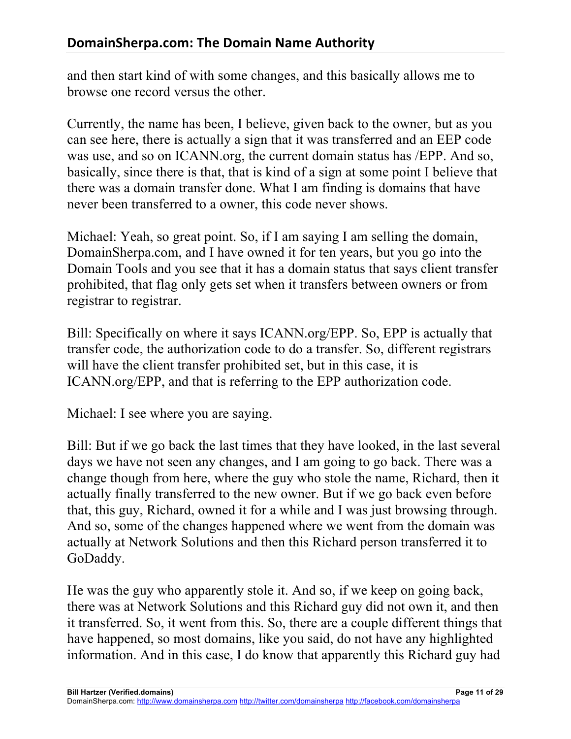and then start kind of with some changes, and this basically allows me to browse one record versus the other.

Currently, the name has been, I believe, given back to the owner, but as you can see here, there is actually a sign that it was transferred and an EEP code was use, and so on ICANN.org, the current domain status has /EPP. And so, basically, since there is that, that is kind of a sign at some point I believe that there was a domain transfer done. What I am finding is domains that have never been transferred to a owner, this code never shows.

Michael: Yeah, so great point. So, if I am saying I am selling the domain, DomainSherpa.com, and I have owned it for ten years, but you go into the Domain Tools and you see that it has a domain status that says client transfer prohibited, that flag only gets set when it transfers between owners or from registrar to registrar.

Bill: Specifically on where it says ICANN.org/EPP. So, EPP is actually that transfer code, the authorization code to do a transfer. So, different registrars will have the client transfer prohibited set, but in this case, it is ICANN.org/EPP, and that is referring to the EPP authorization code.

Michael: I see where you are saying.

Bill: But if we go back the last times that they have looked, in the last several days we have not seen any changes, and I am going to go back. There was a change though from here, where the guy who stole the name, Richard, then it actually finally transferred to the new owner. But if we go back even before that, this guy, Richard, owned it for a while and I was just browsing through. And so, some of the changes happened where we went from the domain was actually at Network Solutions and then this Richard person transferred it to GoDaddy.

He was the guy who apparently stole it. And so, if we keep on going back, there was at Network Solutions and this Richard guy did not own it, and then it transferred. So, it went from this. So, there are a couple different things that have happened, so most domains, like you said, do not have any highlighted information. And in this case, I do know that apparently this Richard guy had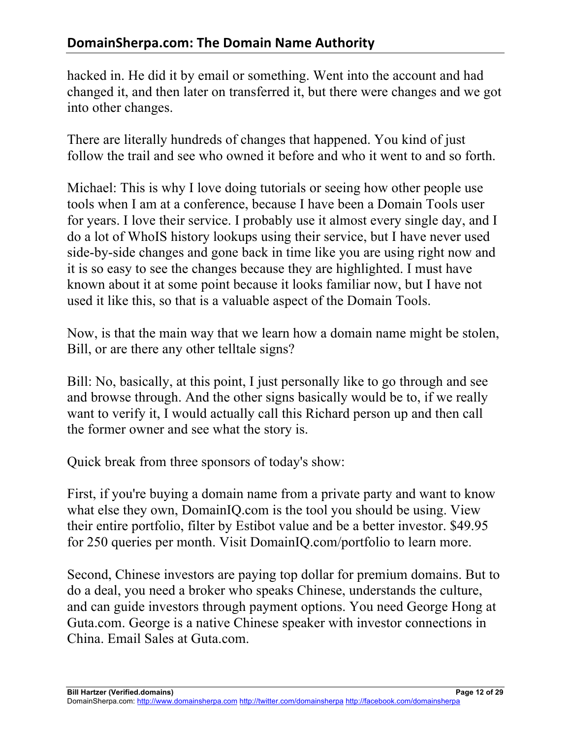hacked in. He did it by email or something. Went into the account and had changed it, and then later on transferred it, but there were changes and we got into other changes.

There are literally hundreds of changes that happened. You kind of just follow the trail and see who owned it before and who it went to and so forth.

Michael: This is why I love doing tutorials or seeing how other people use tools when I am at a conference, because I have been a Domain Tools user for years. I love their service. I probably use it almost every single day, and I do a lot of WhoIS history lookups using their service, but I have never used side-by-side changes and gone back in time like you are using right now and it is so easy to see the changes because they are highlighted. I must have known about it at some point because it looks familiar now, but I have not used it like this, so that is a valuable aspect of the Domain Tools.

Now, is that the main way that we learn how a domain name might be stolen, Bill, or are there any other telltale signs?

Bill: No, basically, at this point, I just personally like to go through and see and browse through. And the other signs basically would be to, if we really want to verify it, I would actually call this Richard person up and then call the former owner and see what the story is.

Quick break from three sponsors of today's show:

First, if you're buying a domain name from a private party and want to know what else they own, DomainIQ.com is the tool you should be using. View their entire portfolio, filter by Estibot value and be a better investor. \$49.95 for 250 queries per month. Visit DomainIQ.com/portfolio to learn more.

Second, Chinese investors are paying top dollar for premium domains. But to do a deal, you need a broker who speaks Chinese, understands the culture, and can guide investors through payment options. You need George Hong at Guta.com. George is a native Chinese speaker with investor connections in China. Email Sales at Guta.com.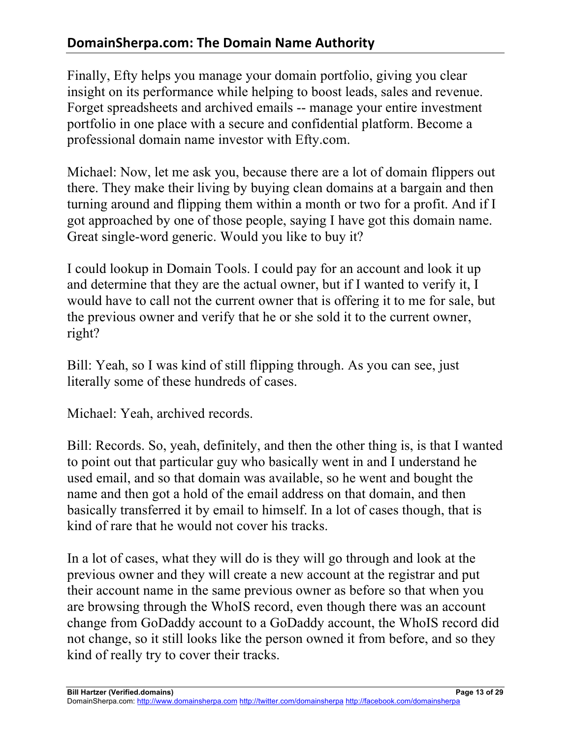# **DomainSherpa.com: The Domain Name Authority**

Finally, Efty helps you manage your domain portfolio, giving you clear insight on its performance while helping to boost leads, sales and revenue. Forget spreadsheets and archived emails -- manage your entire investment portfolio in one place with a secure and confidential platform. Become a professional domain name investor with Efty.com.

Michael: Now, let me ask you, because there are a lot of domain flippers out there. They make their living by buying clean domains at a bargain and then turning around and flipping them within a month or two for a profit. And if I got approached by one of those people, saying I have got this domain name. Great single-word generic. Would you like to buy it?

I could lookup in Domain Tools. I could pay for an account and look it up and determine that they are the actual owner, but if I wanted to verify it, I would have to call not the current owner that is offering it to me for sale, but the previous owner and verify that he or she sold it to the current owner, right?

Bill: Yeah, so I was kind of still flipping through. As you can see, just literally some of these hundreds of cases.

Michael: Yeah, archived records.

Bill: Records. So, yeah, definitely, and then the other thing is, is that I wanted to point out that particular guy who basically went in and I understand he used email, and so that domain was available, so he went and bought the name and then got a hold of the email address on that domain, and then basically transferred it by email to himself. In a lot of cases though, that is kind of rare that he would not cover his tracks.

In a lot of cases, what they will do is they will go through and look at the previous owner and they will create a new account at the registrar and put their account name in the same previous owner as before so that when you are browsing through the WhoIS record, even though there was an account change from GoDaddy account to a GoDaddy account, the WhoIS record did not change, so it still looks like the person owned it from before, and so they kind of really try to cover their tracks.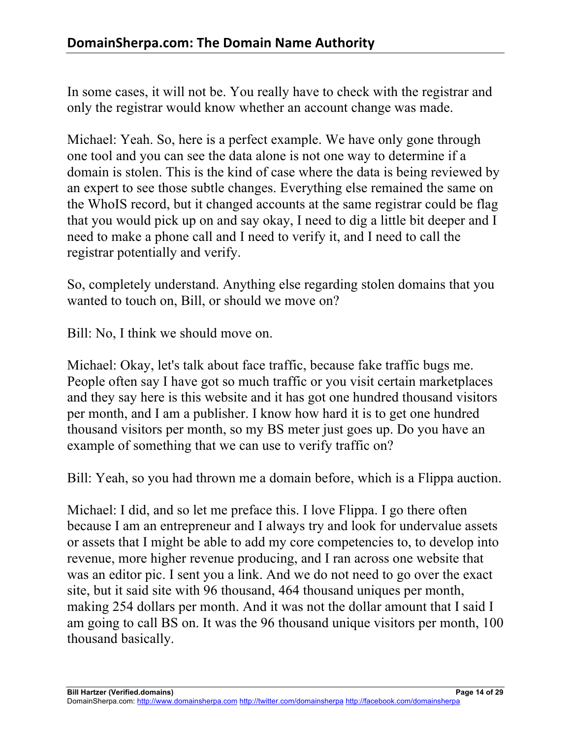In some cases, it will not be. You really have to check with the registrar and only the registrar would know whether an account change was made.

Michael: Yeah. So, here is a perfect example. We have only gone through one tool and you can see the data alone is not one way to determine if a domain is stolen. This is the kind of case where the data is being reviewed by an expert to see those subtle changes. Everything else remained the same on the WhoIS record, but it changed accounts at the same registrar could be flag that you would pick up on and say okay, I need to dig a little bit deeper and I need to make a phone call and I need to verify it, and I need to call the registrar potentially and verify.

So, completely understand. Anything else regarding stolen domains that you wanted to touch on, Bill, or should we move on?

Bill: No, I think we should move on.

Michael: Okay, let's talk about face traffic, because fake traffic bugs me. People often say I have got so much traffic or you visit certain marketplaces and they say here is this website and it has got one hundred thousand visitors per month, and I am a publisher. I know how hard it is to get one hundred thousand visitors per month, so my BS meter just goes up. Do you have an example of something that we can use to verify traffic on?

Bill: Yeah, so you had thrown me a domain before, which is a Flippa auction.

Michael: I did, and so let me preface this. I love Flippa. I go there often because I am an entrepreneur and I always try and look for undervalue assets or assets that I might be able to add my core competencies to, to develop into revenue, more higher revenue producing, and I ran across one website that was an editor pic. I sent you a link. And we do not need to go over the exact site, but it said site with 96 thousand, 464 thousand uniques per month, making 254 dollars per month. And it was not the dollar amount that I said I am going to call BS on. It was the 96 thousand unique visitors per month, 100 thousand basically.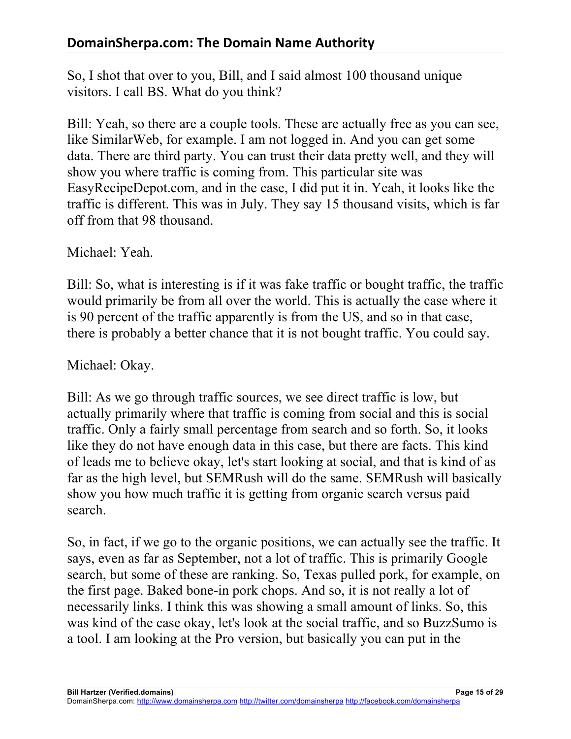So, I shot that over to you, Bill, and I said almost 100 thousand unique visitors. I call BS. What do you think?

Bill: Yeah, so there are a couple tools. These are actually free as you can see, like SimilarWeb, for example. I am not logged in. And you can get some data. There are third party. You can trust their data pretty well, and they will show you where traffic is coming from. This particular site was EasyRecipeDepot.com, and in the case, I did put it in. Yeah, it looks like the traffic is different. This was in July. They say 15 thousand visits, which is far off from that 98 thousand.

Michael: Yeah.

Bill: So, what is interesting is if it was fake traffic or bought traffic, the traffic would primarily be from all over the world. This is actually the case where it is 90 percent of the traffic apparently is from the US, and so in that case, there is probably a better chance that it is not bought traffic. You could say.

Michael: Okay.

Bill: As we go through traffic sources, we see direct traffic is low, but actually primarily where that traffic is coming from social and this is social traffic. Only a fairly small percentage from search and so forth. So, it looks like they do not have enough data in this case, but there are facts. This kind of leads me to believe okay, let's start looking at social, and that is kind of as far as the high level, but SEMRush will do the same. SEMRush will basically show you how much traffic it is getting from organic search versus paid search.

So, in fact, if we go to the organic positions, we can actually see the traffic. It says, even as far as September, not a lot of traffic. This is primarily Google search, but some of these are ranking. So, Texas pulled pork, for example, on the first page. Baked bone-in pork chops. And so, it is not really a lot of necessarily links. I think this was showing a small amount of links. So, this was kind of the case okay, let's look at the social traffic, and so BuzzSumo is a tool. I am looking at the Pro version, but basically you can put in the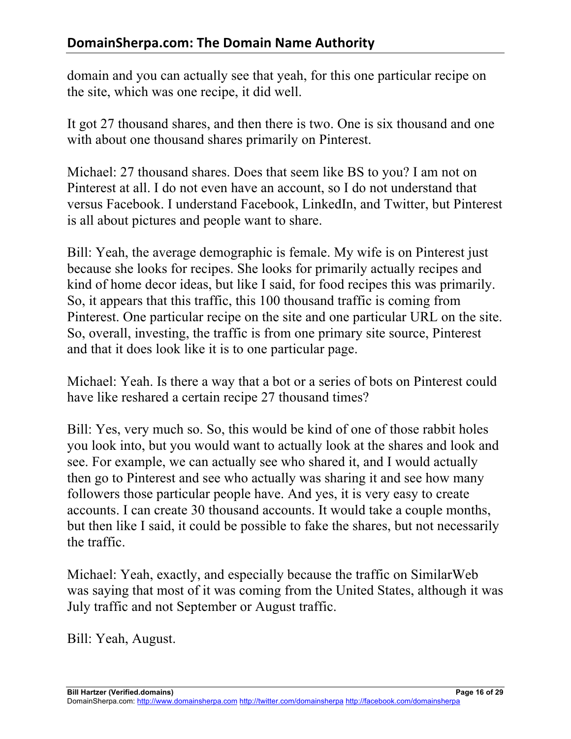domain and you can actually see that yeah, for this one particular recipe on the site, which was one recipe, it did well.

It got 27 thousand shares, and then there is two. One is six thousand and one with about one thousand shares primarily on Pinterest.

Michael: 27 thousand shares. Does that seem like BS to you? I am not on Pinterest at all. I do not even have an account, so I do not understand that versus Facebook. I understand Facebook, LinkedIn, and Twitter, but Pinterest is all about pictures and people want to share.

Bill: Yeah, the average demographic is female. My wife is on Pinterest just because she looks for recipes. She looks for primarily actually recipes and kind of home decor ideas, but like I said, for food recipes this was primarily. So, it appears that this traffic, this 100 thousand traffic is coming from Pinterest. One particular recipe on the site and one particular URL on the site. So, overall, investing, the traffic is from one primary site source, Pinterest and that it does look like it is to one particular page.

Michael: Yeah. Is there a way that a bot or a series of bots on Pinterest could have like reshared a certain recipe 27 thousand times?

Bill: Yes, very much so. So, this would be kind of one of those rabbit holes you look into, but you would want to actually look at the shares and look and see. For example, we can actually see who shared it, and I would actually then go to Pinterest and see who actually was sharing it and see how many followers those particular people have. And yes, it is very easy to create accounts. I can create 30 thousand accounts. It would take a couple months, but then like I said, it could be possible to fake the shares, but not necessarily the traffic.

Michael: Yeah, exactly, and especially because the traffic on SimilarWeb was saying that most of it was coming from the United States, although it was July traffic and not September or August traffic.

Bill: Yeah, August.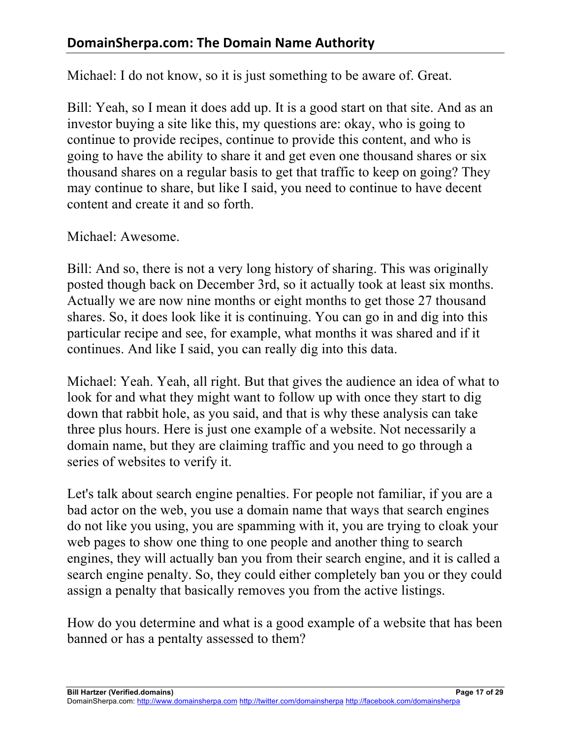Michael: I do not know, so it is just something to be aware of. Great.

Bill: Yeah, so I mean it does add up. It is a good start on that site. And as an investor buying a site like this, my questions are: okay, who is going to continue to provide recipes, continue to provide this content, and who is going to have the ability to share it and get even one thousand shares or six thousand shares on a regular basis to get that traffic to keep on going? They may continue to share, but like I said, you need to continue to have decent content and create it and so forth.

Michael: Awesome.

Bill: And so, there is not a very long history of sharing. This was originally posted though back on December 3rd, so it actually took at least six months. Actually we are now nine months or eight months to get those 27 thousand shares. So, it does look like it is continuing. You can go in and dig into this particular recipe and see, for example, what months it was shared and if it continues. And like I said, you can really dig into this data.

Michael: Yeah. Yeah, all right. But that gives the audience an idea of what to look for and what they might want to follow up with once they start to dig down that rabbit hole, as you said, and that is why these analysis can take three plus hours. Here is just one example of a website. Not necessarily a domain name, but they are claiming traffic and you need to go through a series of websites to verify it.

Let's talk about search engine penalties. For people not familiar, if you are a bad actor on the web, you use a domain name that ways that search engines do not like you using, you are spamming with it, you are trying to cloak your web pages to show one thing to one people and another thing to search engines, they will actually ban you from their search engine, and it is called a search engine penalty. So, they could either completely ban you or they could assign a penalty that basically removes you from the active listings.

How do you determine and what is a good example of a website that has been banned or has a pentalty assessed to them?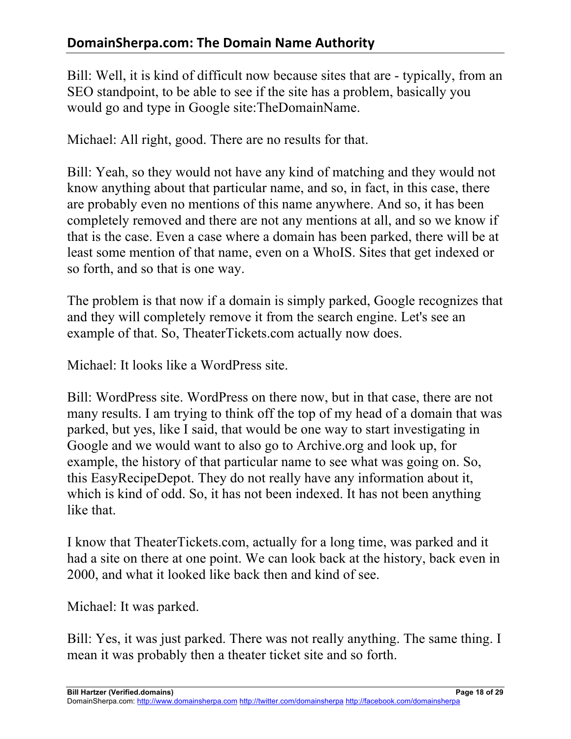# **DomainSherpa.com: The Domain Name Authority**

Bill: Well, it is kind of difficult now because sites that are - typically, from an SEO standpoint, to be able to see if the site has a problem, basically you would go and type in Google site:TheDomainName.

Michael: All right, good. There are no results for that.

Bill: Yeah, so they would not have any kind of matching and they would not know anything about that particular name, and so, in fact, in this case, there are probably even no mentions of this name anywhere. And so, it has been completely removed and there are not any mentions at all, and so we know if that is the case. Even a case where a domain has been parked, there will be at least some mention of that name, even on a WhoIS. Sites that get indexed or so forth, and so that is one way.

The problem is that now if a domain is simply parked, Google recognizes that and they will completely remove it from the search engine. Let's see an example of that. So, TheaterTickets.com actually now does.

Michael: It looks like a WordPress site.

Bill: WordPress site. WordPress on there now, but in that case, there are not many results. I am trying to think off the top of my head of a domain that was parked, but yes, like I said, that would be one way to start investigating in Google and we would want to also go to Archive.org and look up, for example, the history of that particular name to see what was going on. So, this EasyRecipeDepot. They do not really have any information about it, which is kind of odd. So, it has not been indexed. It has not been anything like that.

I know that TheaterTickets.com, actually for a long time, was parked and it had a site on there at one point. We can look back at the history, back even in 2000, and what it looked like back then and kind of see.

Michael: It was parked.

Bill: Yes, it was just parked. There was not really anything. The same thing. I mean it was probably then a theater ticket site and so forth.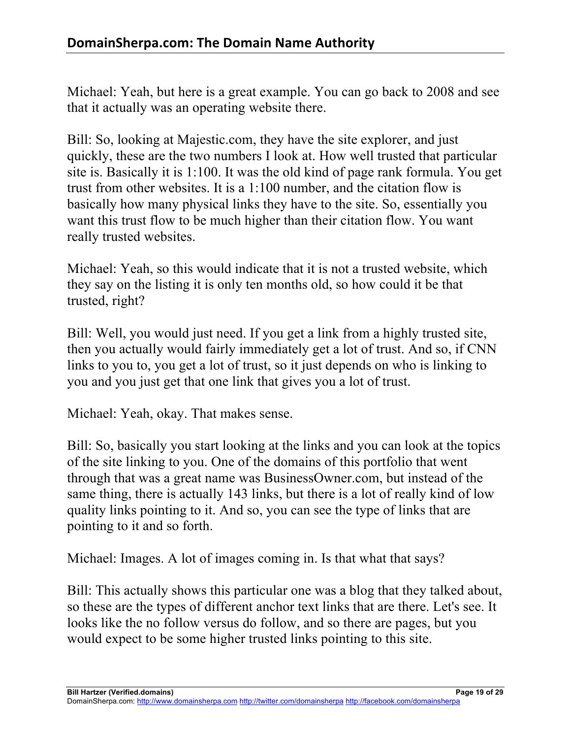Michael: Yeah, but here is a great example. You can go back to 2008 and see that it actually was an operating website there.

Bill: So, looking at Majestic.com, they have the site explorer, and just quickly, these are the two numbers I look at. How well trusted that particular site is. Basically it is 1:100. It was the old kind of page rank formula. You get trust from other websites. It is a 1:100 number, and the citation flow is basically how many physical links they have to the site. So, essentially you want this trust flow to be much higher than their citation flow. You want really trusted websites.

Michael: Yeah, so this would indicate that it is not a trusted website, which they say on the listing it is only ten months old, so how could it be that trusted, right?

Bill: Well, you would just need. If you get a link from a highly trusted site, then you actually would fairly immediately get a lot of trust. And so, if CNN links to you to, you get a lot of trust, so it just depends on who is linking to you and you just get that one link that gives you a lot of trust.

Michael: Yeah, okay. That makes sense.

Bill: So, basically you start looking at the links and you can look at the topics of the site linking to you. One of the domains of this portfolio that went through that was a great name was BusinessOwner.com, but instead of the same thing, there is actually 143 links, but there is a lot of really kind of low quality links pointing to it. And so, you can see the type of links that are pointing to it and so forth.

Michael: Images. A lot of images coming in. Is that what that says?

Bill: This actually shows this particular one was a blog that they talked about, so these are the types of different anchor text links that are there. Let's see. It looks like the no follow versus do follow, and so there are pages, but you would expect to be some higher trusted links pointing to this site.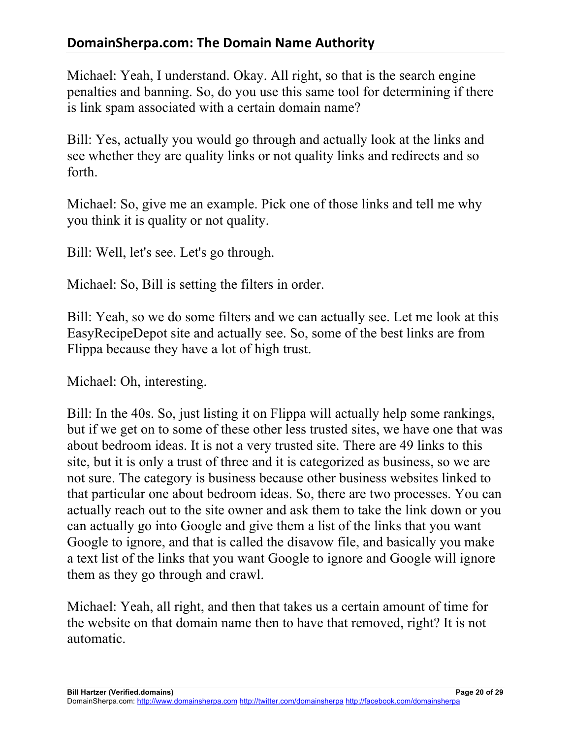# **DomainSherpa.com: The Domain Name Authority**

Michael: Yeah, I understand. Okay. All right, so that is the search engine penalties and banning. So, do you use this same tool for determining if there is link spam associated with a certain domain name?

Bill: Yes, actually you would go through and actually look at the links and see whether they are quality links or not quality links and redirects and so forth.

Michael: So, give me an example. Pick one of those links and tell me why you think it is quality or not quality.

Bill: Well, let's see. Let's go through.

Michael: So, Bill is setting the filters in order.

Bill: Yeah, so we do some filters and we can actually see. Let me look at this EasyRecipeDepot site and actually see. So, some of the best links are from Flippa because they have a lot of high trust.

Michael: Oh, interesting.

Bill: In the 40s. So, just listing it on Flippa will actually help some rankings, but if we get on to some of these other less trusted sites, we have one that was about bedroom ideas. It is not a very trusted site. There are 49 links to this site, but it is only a trust of three and it is categorized as business, so we are not sure. The category is business because other business websites linked to that particular one about bedroom ideas. So, there are two processes. You can actually reach out to the site owner and ask them to take the link down or you can actually go into Google and give them a list of the links that you want Google to ignore, and that is called the disavow file, and basically you make a text list of the links that you want Google to ignore and Google will ignore them as they go through and crawl.

Michael: Yeah, all right, and then that takes us a certain amount of time for the website on that domain name then to have that removed, right? It is not automatic.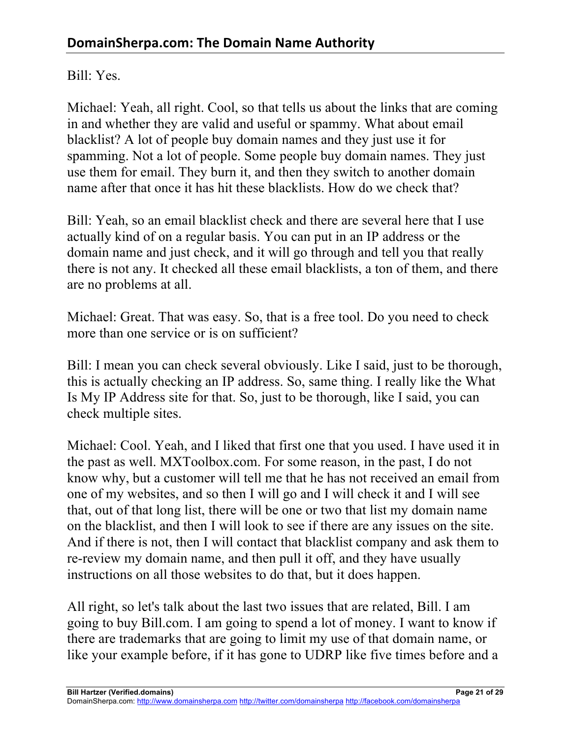#### Bill: Yes.

Michael: Yeah, all right. Cool, so that tells us about the links that are coming in and whether they are valid and useful or spammy. What about email blacklist? A lot of people buy domain names and they just use it for spamming. Not a lot of people. Some people buy domain names. They just use them for email. They burn it, and then they switch to another domain name after that once it has hit these blacklists. How do we check that?

Bill: Yeah, so an email blacklist check and there are several here that I use actually kind of on a regular basis. You can put in an IP address or the domain name and just check, and it will go through and tell you that really there is not any. It checked all these email blacklists, a ton of them, and there are no problems at all.

Michael: Great. That was easy. So, that is a free tool. Do you need to check more than one service or is on sufficient?

Bill: I mean you can check several obviously. Like I said, just to be thorough, this is actually checking an IP address. So, same thing. I really like the What Is My IP Address site for that. So, just to be thorough, like I said, you can check multiple sites.

Michael: Cool. Yeah, and I liked that first one that you used. I have used it in the past as well. MXToolbox.com. For some reason, in the past, I do not know why, but a customer will tell me that he has not received an email from one of my websites, and so then I will go and I will check it and I will see that, out of that long list, there will be one or two that list my domain name on the blacklist, and then I will look to see if there are any issues on the site. And if there is not, then I will contact that blacklist company and ask them to re-review my domain name, and then pull it off, and they have usually instructions on all those websites to do that, but it does happen.

All right, so let's talk about the last two issues that are related, Bill. I am going to buy Bill.com. I am going to spend a lot of money. I want to know if there are trademarks that are going to limit my use of that domain name, or like your example before, if it has gone to UDRP like five times before and a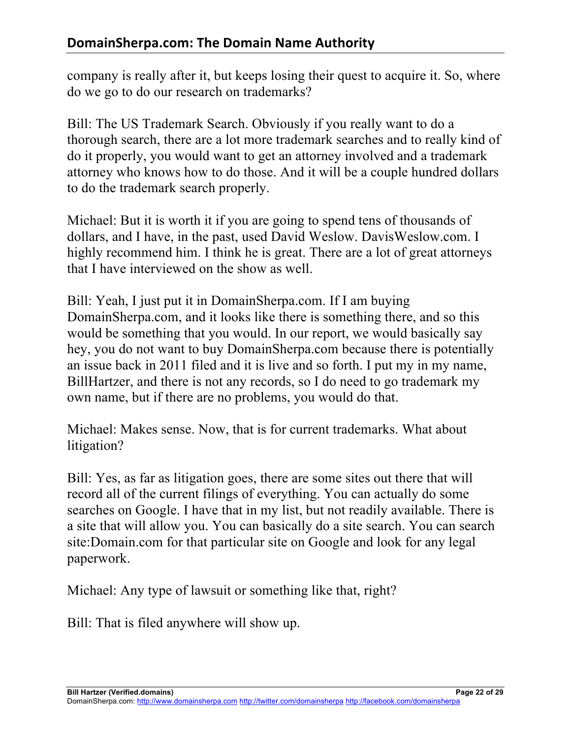company is really after it, but keeps losing their quest to acquire it. So, where do we go to do our research on trademarks?

Bill: The US Trademark Search. Obviously if you really want to do a thorough search, there are a lot more trademark searches and to really kind of do it properly, you would want to get an attorney involved and a trademark attorney who knows how to do those. And it will be a couple hundred dollars to do the trademark search properly.

Michael: But it is worth it if you are going to spend tens of thousands of dollars, and I have, in the past, used David Weslow. DavisWeslow.com. I highly recommend him. I think he is great. There are a lot of great attorneys that I have interviewed on the show as well.

Bill: Yeah, I just put it in DomainSherpa.com. If I am buying DomainSherpa.com, and it looks like there is something there, and so this would be something that you would. In our report, we would basically say hey, you do not want to buy DomainSherpa.com because there is potentially an issue back in 2011 filed and it is live and so forth. I put my in my name, BillHartzer, and there is not any records, so I do need to go trademark my own name, but if there are no problems, you would do that.

Michael: Makes sense. Now, that is for current trademarks. What about litigation?

Bill: Yes, as far as litigation goes, there are some sites out there that will record all of the current filings of everything. You can actually do some searches on Google. I have that in my list, but not readily available. There is a site that will allow you. You can basically do a site search. You can search site:Domain.com for that particular site on Google and look for any legal paperwork.

Michael: Any type of lawsuit or something like that, right?

Bill: That is filed anywhere will show up.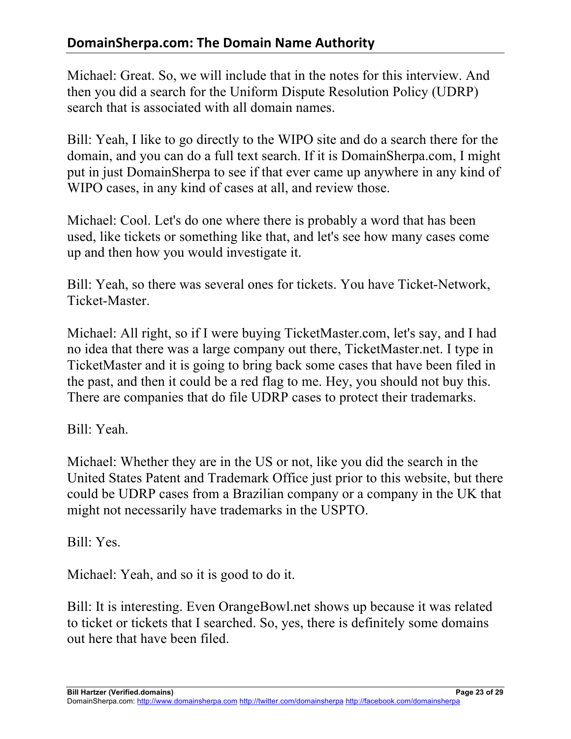Michael: Great. So, we will include that in the notes for this interview. And then you did a search for the Uniform Dispute Resolution Policy (UDRP) search that is associated with all domain names.

Bill: Yeah, I like to go directly to the WIPO site and do a search there for the domain, and you can do a full text search. If it is DomainSherpa.com, I might put in just DomainSherpa to see if that ever came up anywhere in any kind of WIPO cases, in any kind of cases at all, and review those.

Michael: Cool. Let's do one where there is probably a word that has been used, like tickets or something like that, and let's see how many cases come up and then how you would investigate it.

Bill: Yeah, so there was several ones for tickets. You have Ticket-Network, Ticket-Master.

Michael: All right, so if I were buying TicketMaster.com, let's say, and I had no idea that there was a large company out there, TicketMaster.net. I type in TicketMaster and it is going to bring back some cases that have been filed in the past, and then it could be a red flag to me. Hey, you should not buy this. There are companies that do file UDRP cases to protect their trademarks.

Bill: Yeah.

Michael: Whether they are in the US or not, like you did the search in the United States Patent and Trademark Office just prior to this website, but there could be UDRP cases from a Brazilian company or a company in the UK that might not necessarily have trademarks in the USPTO.

Bill: Yes.

Michael: Yeah, and so it is good to do it.

Bill: It is interesting. Even OrangeBowl.net shows up because it was related to ticket or tickets that I searched. So, yes, there is definitely some domains out here that have been filed.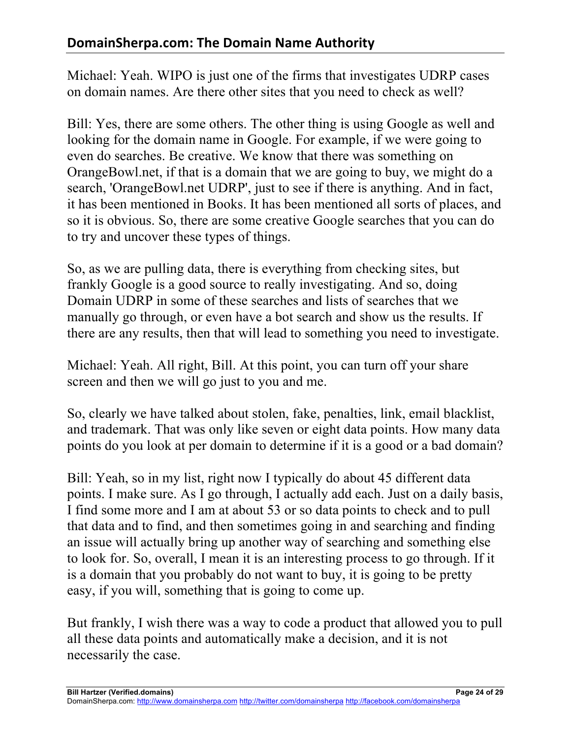Michael: Yeah. WIPO is just one of the firms that investigates UDRP cases on domain names. Are there other sites that you need to check as well?

Bill: Yes, there are some others. The other thing is using Google as well and looking for the domain name in Google. For example, if we were going to even do searches. Be creative. We know that there was something on OrangeBowl.net, if that is a domain that we are going to buy, we might do a search, 'OrangeBowl.net UDRP', just to see if there is anything. And in fact, it has been mentioned in Books. It has been mentioned all sorts of places, and so it is obvious. So, there are some creative Google searches that you can do to try and uncover these types of things.

So, as we are pulling data, there is everything from checking sites, but frankly Google is a good source to really investigating. And so, doing Domain UDRP in some of these searches and lists of searches that we manually go through, or even have a bot search and show us the results. If there are any results, then that will lead to something you need to investigate.

Michael: Yeah. All right, Bill. At this point, you can turn off your share screen and then we will go just to you and me.

So, clearly we have talked about stolen, fake, penalties, link, email blacklist, and trademark. That was only like seven or eight data points. How many data points do you look at per domain to determine if it is a good or a bad domain?

Bill: Yeah, so in my list, right now I typically do about 45 different data points. I make sure. As I go through, I actually add each. Just on a daily basis, I find some more and I am at about 53 or so data points to check and to pull that data and to find, and then sometimes going in and searching and finding an issue will actually bring up another way of searching and something else to look for. So, overall, I mean it is an interesting process to go through. If it is a domain that you probably do not want to buy, it is going to be pretty easy, if you will, something that is going to come up.

But frankly, I wish there was a way to code a product that allowed you to pull all these data points and automatically make a decision, and it is not necessarily the case.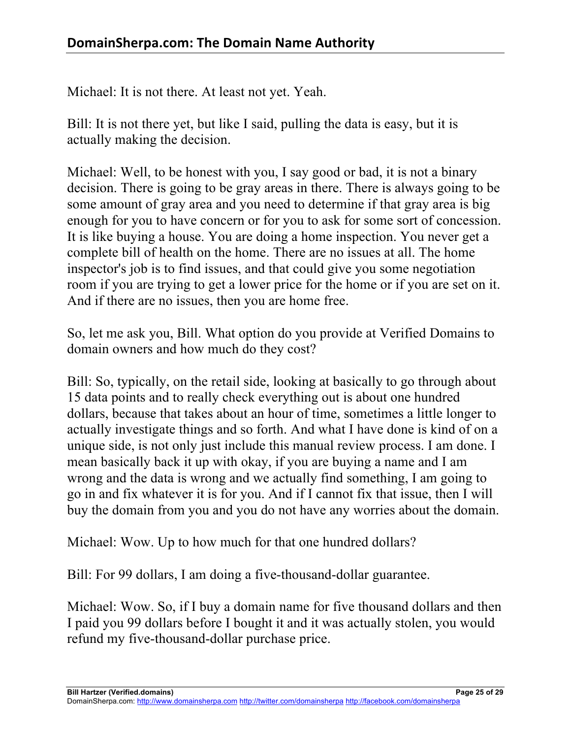Michael: It is not there. At least not yet. Yeah.

Bill: It is not there yet, but like I said, pulling the data is easy, but it is actually making the decision.

Michael: Well, to be honest with you, I say good or bad, it is not a binary decision. There is going to be gray areas in there. There is always going to be some amount of gray area and you need to determine if that gray area is big enough for you to have concern or for you to ask for some sort of concession. It is like buying a house. You are doing a home inspection. You never get a complete bill of health on the home. There are no issues at all. The home inspector's job is to find issues, and that could give you some negotiation room if you are trying to get a lower price for the home or if you are set on it. And if there are no issues, then you are home free.

So, let me ask you, Bill. What option do you provide at Verified Domains to domain owners and how much do they cost?

Bill: So, typically, on the retail side, looking at basically to go through about 15 data points and to really check everything out is about one hundred dollars, because that takes about an hour of time, sometimes a little longer to actually investigate things and so forth. And what I have done is kind of on a unique side, is not only just include this manual review process. I am done. I mean basically back it up with okay, if you are buying a name and I am wrong and the data is wrong and we actually find something, I am going to go in and fix whatever it is for you. And if I cannot fix that issue, then I will buy the domain from you and you do not have any worries about the domain.

Michael: Wow. Up to how much for that one hundred dollars?

Bill: For 99 dollars, I am doing a five-thousand-dollar guarantee.

Michael: Wow. So, if I buy a domain name for five thousand dollars and then I paid you 99 dollars before I bought it and it was actually stolen, you would refund my five-thousand-dollar purchase price.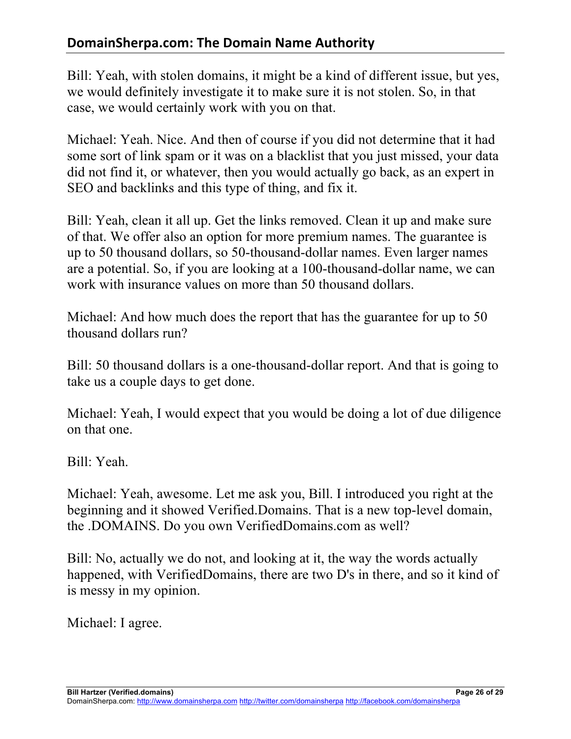# **DomainSherpa.com: The Domain Name Authority**

Bill: Yeah, with stolen domains, it might be a kind of different issue, but yes, we would definitely investigate it to make sure it is not stolen. So, in that case, we would certainly work with you on that.

Michael: Yeah. Nice. And then of course if you did not determine that it had some sort of link spam or it was on a blacklist that you just missed, your data did not find it, or whatever, then you would actually go back, as an expert in SEO and backlinks and this type of thing, and fix it.

Bill: Yeah, clean it all up. Get the links removed. Clean it up and make sure of that. We offer also an option for more premium names. The guarantee is up to 50 thousand dollars, so 50-thousand-dollar names. Even larger names are a potential. So, if you are looking at a 100-thousand-dollar name, we can work with insurance values on more than 50 thousand dollars.

Michael: And how much does the report that has the guarantee for up to 50 thousand dollars run?

Bill: 50 thousand dollars is a one-thousand-dollar report. And that is going to take us a couple days to get done.

Michael: Yeah, I would expect that you would be doing a lot of due diligence on that one.

Bill: Yeah.

Michael: Yeah, awesome. Let me ask you, Bill. I introduced you right at the beginning and it showed Verified.Domains. That is a new top-level domain, the .DOMAINS. Do you own VerifiedDomains.com as well?

Bill: No, actually we do not, and looking at it, the way the words actually happened, with VerifiedDomains, there are two D's in there, and so it kind of is messy in my opinion.

Michael: I agree.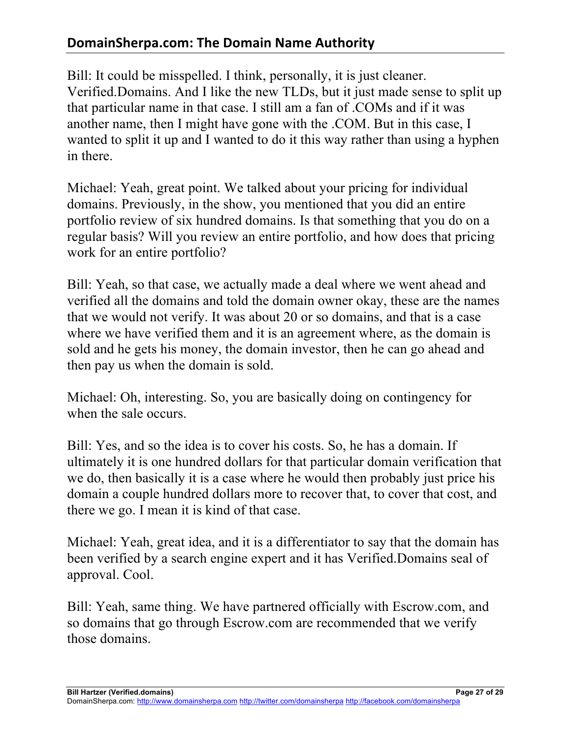# **DomainSherpa.com: The Domain Name Authority**

Bill: It could be misspelled. I think, personally, it is just cleaner. Verified.Domains. And I like the new TLDs, but it just made sense to split up that particular name in that case. I still am a fan of .COMs and if it was another name, then I might have gone with the .COM. But in this case, I wanted to split it up and I wanted to do it this way rather than using a hyphen in there.

Michael: Yeah, great point. We talked about your pricing for individual domains. Previously, in the show, you mentioned that you did an entire portfolio review of six hundred domains. Is that something that you do on a regular basis? Will you review an entire portfolio, and how does that pricing work for an entire portfolio?

Bill: Yeah, so that case, we actually made a deal where we went ahead and verified all the domains and told the domain owner okay, these are the names that we would not verify. It was about 20 or so domains, and that is a case where we have verified them and it is an agreement where, as the domain is sold and he gets his money, the domain investor, then he can go ahead and then pay us when the domain is sold.

Michael: Oh, interesting. So, you are basically doing on contingency for when the sale occurs.

Bill: Yes, and so the idea is to cover his costs. So, he has a domain. If ultimately it is one hundred dollars for that particular domain verification that we do, then basically it is a case where he would then probably just price his domain a couple hundred dollars more to recover that, to cover that cost, and there we go. I mean it is kind of that case.

Michael: Yeah, great idea, and it is a differentiator to say that the domain has been verified by a search engine expert and it has Verified.Domains seal of approval. Cool.

Bill: Yeah, same thing. We have partnered officially with Escrow.com, and so domains that go through Escrow.com are recommended that we verify those domains.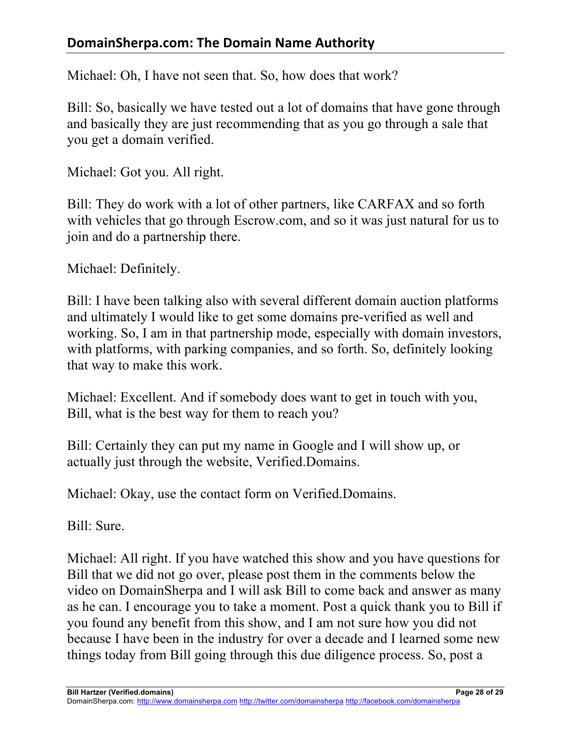Michael: Oh, I have not seen that. So, how does that work?

Bill: So, basically we have tested out a lot of domains that have gone through and basically they are just recommending that as you go through a sale that you get a domain verified.

Michael: Got you. All right.

Bill: They do work with a lot of other partners, like CARFAX and so forth with vehicles that go through Escrow.com, and so it was just natural for us to join and do a partnership there.

Michael: Definitely.

Bill: I have been talking also with several different domain auction platforms and ultimately I would like to get some domains pre-verified as well and working. So, I am in that partnership mode, especially with domain investors, with platforms, with parking companies, and so forth. So, definitely looking that way to make this work.

Michael: Excellent. And if somebody does want to get in touch with you, Bill, what is the best way for them to reach you?

Bill: Certainly they can put my name in Google and I will show up, or actually just through the website, Verified.Domains.

Michael: Okay, use the contact form on Verified.Domains.

Bill: Sure.

Michael: All right. If you have watched this show and you have questions for Bill that we did not go over, please post them in the comments below the video on DomainSherpa and I will ask Bill to come back and answer as many as he can. I encourage you to take a moment. Post a quick thank you to Bill if you found any benefit from this show, and I am not sure how you did not because I have been in the industry for over a decade and I learned some new things today from Bill going through this due diligence process. So, post a